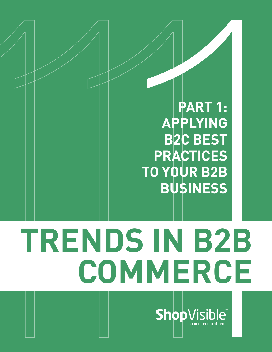**PART 1: APPLYING B2C BEST PRACTICES TO YOUR B2B BUSINESS**

# **TRENDS IN B2B EXAMPLYING**<br>
BRANCHIC BART 1:<br>
BRACTICES<br>
TO YOUR B2B<br>
BUSINESS<br>
BUSINESS<br>
NDS IN B2B<br>
COMMERCE

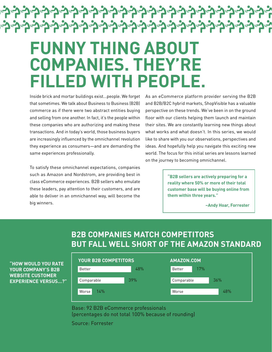### **FUNNY THING ABOUT COMPANIES. THEY'RE FILLED WITH PEOPLE.**

<u> マーフーフーフーフーフーフーフーフーフーフ</u>

<mark>⋻ᠫᢛᢓᢛᢓᢛᢓᢛᢓᢛᢓᢛᢓᢛᢓᢛᢓᢛᢓᢛᢓᢛᢓᢛᢓᢛᢓᢛᢓᢛᢓᢛᢓ</mark>

Inside brick and mortar buildings exist...people. We forget that sometimes. We talk about Business to Business (B2B) commerce as if there were two abstract entities buying and selling from one another. In fact, it's the people within these companies who are authorizing and making these transactions. And in today's world, those business buyers are increasingly influenced by the omnichannel revolution they experience as consumers—and are demanding the same experiences professionally.

To satisfy these omnichannel expectations, companies such as Amazon and Nordstrom, are providing best in class eCommerce experiences. B2B sellers who emulate these leaders, pay attention to their customers, and are able to deliver in an omnichannel way, will become the big winners.

As an eCommerce platform provider serving the B2B and B2B/B2C hybrid markets, ShopVisible has a valuable perspective on these trends. We've been in on the ground floor with our clients helping them launch and maintain their sites. We are constantly learning new things about what works and what doesn't. In this series, we would like to share with you our observations, perspectives and ideas. And hopefully help you navigate this exciting new world. The focus for this initial series are lessons learned on the journey to becoming omnichannel.

> **"B2B sellers are actively preparing for a reality where 50% or more of their total customer base will be buying online from them within three years."**

> > **–Andy Hoar, Forrester**

### **B2B COMPANIES MATCH COMPETITORS BUT FALL WELL SHORT OF THE AMAZON STANDARD**



| <b>YOUR B2B COMPETITORS</b> |     | AMAZON.COM    |     |
|-----------------------------|-----|---------------|-----|
| Better                      | 48% | 17%<br>Better |     |
| Comparable                  | 39% | Comparable    | 36% |
| 14%<br>Worse                |     | Worse         | 48% |

Source: Forrester Base: 92 B2B eCommerce professionals (percentages do not total 100% because of rounding)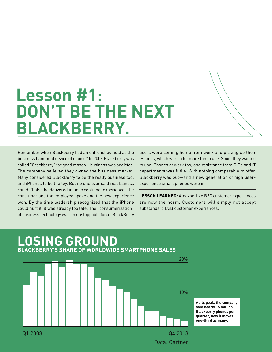### **Lesson #1: DON'T BE THE NEXT BLACKBERRY.**

Remember when Blackberry had an entrenched hold as the business handheld device of choice? In 2008 Blackberry was called "Crackberry" for good reason – business was addicted. The company believed they owned the business market. Many considered BlackBerry to be the really business tool and iPhones to be the toy. But no one ever said real bsiness couldn't also be delivered in an exceptional experience. The consumer and the employee spoke and the new experience won. By the time leadership recognized that the iPhone could hurt it, it was already too late. The "consumerization" of business technology was an unstoppable force. BlackBerry

users were coming home from work and picking up their iPhones, which were a lot more fun to use. Soon, they wanted to use iPhones at work too, and resistance from CIOs and IT departments was futile. With nothing comparable to offer, Blackberry was out—and a new generation of high userexperience smart phones were in.

**LESSON LEARNED:** Amazon-like B2C customer experiences are now the norm. Customers will simply not accept substandard B2B customer experiences.

### **LOSING GROUND BLACKBERRY'S SHARE OF WORLDWIDE SMARTPHONE SALES** Data: Gartner Q1 2008 Q4 2013 20% 10% **At its peak, the company sold nearly 15 million Blackberry phones per quarter; now it moves one-third as many.**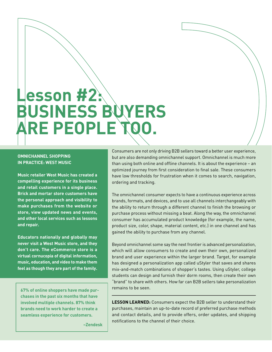# **Lesson #2: BUSINESS BUYERS ARE PEOPLE TOO.**

### **OMNICHANNEL SHOPPING IN PRACTICE: WEST MUSIC**

**Music retailer West Music has created a compelling experience for its business and retail customers in a single place. Brick and mortar store customers have the personal approach and visibility to make purchases from the website or store, view updated news and events, and other local services such as lessons and repair.** 

**Educators nationally and globally may never visit a West Music store, and they don't care. The eCommerce store is a virtual cornucopia of digital information, music, education, and video to make them feel as though they are part of the family.**

**67% of online shoppers have made purchases in the past six months that have involved multiple channels. 87% think brands need to work harder to create a seamless experience for customers.** 

Consumers are not only driving B2B sellers toward a better user experience, but are also demanding omnichannel support. Omnichannel is much more than using both online and offline channels. It is about the experience – an optimized journey from first consideration to final sale. These consumers have low thresholds for frustration when it comes to search, navigation, ordering and tracking.

The omnichannel consumer expects to have a continuous experience across brands, formats, and devices, and to use all channels interchangeably with the ability to return through a different channel to finish the browsing or purchase process without missing a beat. Along the way, the omnichannel consumer has accumulated product knowledge (for example, the name, product size, color, shape, material content, etc.) in one channel and has gained the ability to purchase from any channel.

Beyond omnichannel some say the next frontier is advanced personalization, which will allow consumers to create and own their own, personalized brand and user experience within the larger brand. Target, for example has designed a personalization app called uStyler that saves and shares mix-and-match combinations of shopper's tastes. Using uStyler, college students can design and furnish their dorm rooms, then create their own "brand" to share with others. How far can B2B sellers take personalization remains to be seen.

**LESSON LEARNED:** Consumers expect the B2B seller to understand their purchases, maintain an up-to-date record of preferred purchase methods and contact details, and to provide offers, order updates, and shipping notifications to the channel of their choice.

**–Zendesk**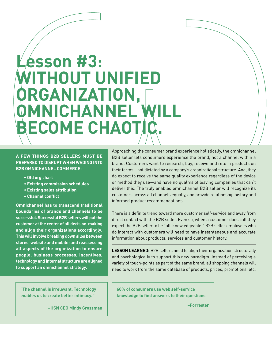# **Lesson #3: WITHOUT UNIFIED ORGANIZATION, MNICHANNEL WILL BECOME CHAOTIC**

### **A FEW THINGS B2B SELLERS MUST BE PREPARED TO DISRUPT WHEN WADING INTO B2B OMNICHANNEL COMMERCE:**

- **• Old org chart**
- **• Existing commission schedules**
- **• Existing sales attribution**
- **• Channel conflict**

**Omnichannel has to transcend traditional boundaries of brands and channels to be successful. Successful B2B sellers will put the customer at the center of all decision-making and align their organizations accordingly. This will involve breaking down silos between stores, website and mobile; and reassessing all aspects of the organization to ensure people, business processes, incentives, technology and internal structure are aligned to support an omnichannel strategy.**

Approaching the consumer brand experience holistically, the omnichannel B2B seller lets consumers experience the brand, not a channel within a brand. Customers want to research, buy, receive and return products on their terms—not dictated by a company's organizational structure. And, they do expect to receive the same quality experience regardless of the device or method they use—and have no qualms of leaving companies that can't deliver this. The truly enabled omnichannel B2B seller will recognize its customers across all channels equally, and provide relationship history and informed product recommendations.

There is a definite trend toward more customer self-service and away from direct contact with the B2B seller. Even so, when a customer does call they expect the B2B seller to be "all-knowledgeable." B2B seller employees who do interact with customers will need to have instantaneous and accurate information about products, services and customer history.

**LESSON LEARNED:** B2B sellers need to align their organization structurally and psychologically to support this new paradigm. Instead of perceiving a variety of touch-points as part of the same brand, all shopping channels will need to work from the same database of products, prices, promotions, etc.

**"The channel is irrelevant. Technology enables us to create better intimacy."** 

**–HSN CEO Mindy Grossman**

**60% of consumers use web self-service knowledge to find answers to their questions**

**–Forrester**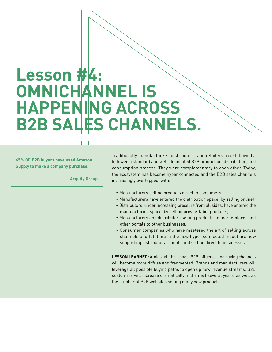## **Lesson #4: OMNICHANNEL IS HAPPENING ACROSS B2B SALES CHANNELS.**

**45% OF B2B buyers have used Amazon Supply to make a company purchase.**

**–Acquity Group**

Traditionally manufacturers, distributors, and retailers have followed a followed a standard and well-delineated B2B production, distribution, and consumption process. They were complementary to each other. Today, the ecosystem has become hyper connected and the B2B sales channels increasingly overlapped, with:

- Manufacturers selling products direct to consumers.
- Manufacturers have entered the distribution space (by selling online)
- Distributors, under increasing pressure from all sides, have entered the manufacturing space (by selling private-label products).
- Manufacturers and distributors selling products on marketplaces and other portals to other businesses.
- Consumer companies who have mastered the art of selling across channels and fulfilling in the new hyper connected model are now supporting distributor accounts and selling direct to businesses.

**LESSON LEARNED:** Amidst all this chaos, B2B influence and buying channels will become more diffuse and fragmented. Brands and manufacturers will leverage all possible buying paths to open up new revenue streams. B2B customers will increase dramatically in the next several years, as well as the number of B2B websites selling many new products.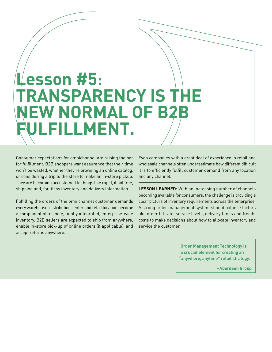# **Lesson #5: TRANSPARENCY IS THE NEW NORMAL OF B2B FILLMENT.**

Consumer expectations for omnichannel are raising the bar for fulfillment. B2B shoppers want assurance that their time won't be wasted, whether they're browsing an online catalog, or considering a trip to the store to make an in-store pickup. They are becoming accustomed to things like rapid, if not free, shipping and, faultless inventory and delivery information.

Fulfilling the orders of the omnichannel customer demands every warehouse, distribution center and retail location become a component of a single, tightly integrated, enterprise-wide inventory. B2B sellers are expected to ship from anywhere, enable in-store pick-up of online orders (if applicable), and accept returns anywhere.

Even companies with a great deal of experience in retail and wholesale channels often underestimate how different difficult it is to efficiently fulfill customer demand from any location and any channel.

**LESSON LEARNED:** With an increasing number of channels becoming available for consumers, the challenge is providing a clear picture of inventory requirements across the enterprise. A strong order management system should balance factors like order fill rate, service levels, delivery times and freight costs to make decisions about how to allocate inventory and service the customer.

> **Order Management Technology is a crucial element for creating an "anywhere, anytime" retail strategy.**

> > **–Aberdeen Group**